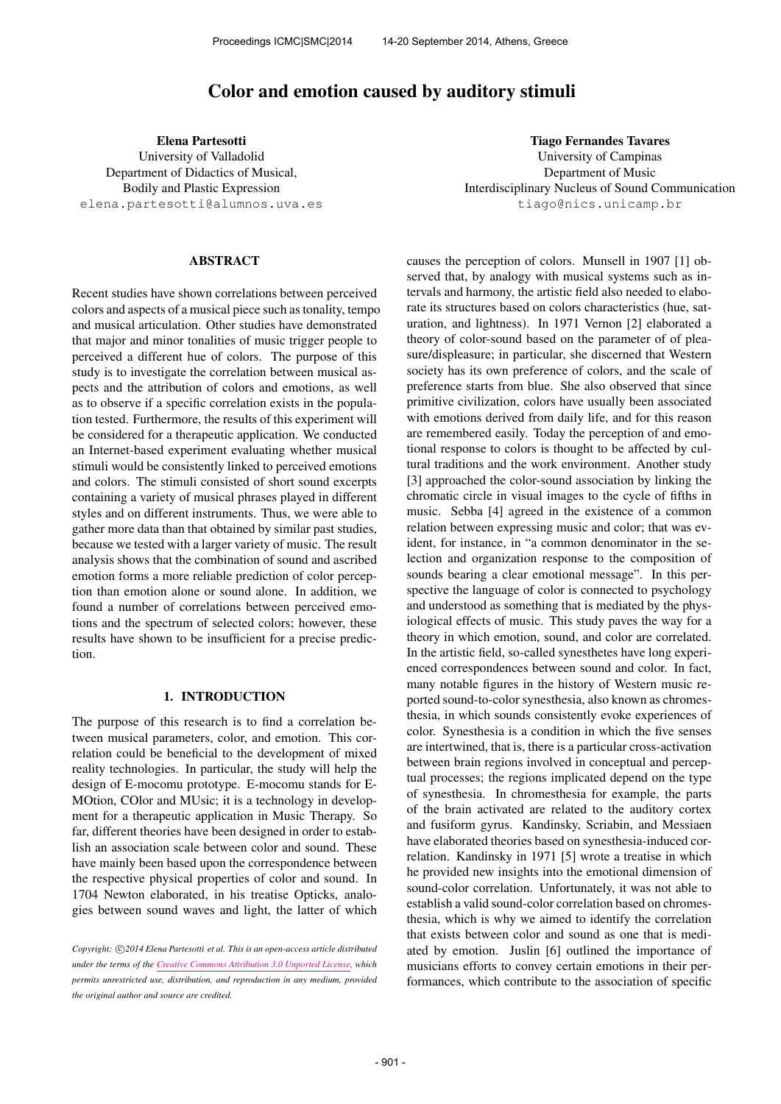# Color and emotion caused by auditory stimuli

Elena Partesotti University of Valladolid Department of Didactics of Musical, Bodily and Plastic Expression [elena.partesotti@alumnos.uva.es](mailto:elena.partesotti@alumnos.uva.es)

## ABSTRACT

Recent studies have shown correlations between perceived colors and aspects of a musical piece such as tonality, tempo and musical articulation. Other studies have demonstrated that major and minor tonalities of music trigger people to perceived a different hue of colors. The purpose of this study is to investigate the correlation between musical aspects and the attribution of colors and emotions, as well as to observe if a specific correlation exists in the population tested. Furthermore, the results of this experiment will be considered for a therapeutic application. We conducted an Internet-based experiment evaluating whether musical stimuli would be consistently linked to perceived emotions and colors. The stimuli consisted of short sound excerpts containing a variety of musical phrases played in different styles and on different instruments. Thus, we were able to gather more data than that obtained by similar past studies, because we tested with a larger variety of music. The result analysis shows that the combination of sound and ascribed emotion forms a more reliable prediction of color perception than emotion alone or sound alone. In addition, we found a number of correlations between perceived emotions and the spectrum of selected colors; however, these results have shown to be insufficient for a precise prediction.

# 1. INTRODUCTION

The purpose of this research is to find a correlation between musical parameters, color, and emotion. This correlation could be beneficial to the development of mixed reality technologies. In particular, the study will help the design of E-mocomu prototype. E-mocomu stands for E-MOtion, COlor and MUsic; it is a technology in development for a therapeutic application in Music Therapy. So far, different theories have been designed in order to establish an association scale between color and sound. These have mainly been based upon the correspondence between the respective physical properties of color and sound. In 1704 Newton elaborated, in his treatise Opticks, analogies between sound waves and light, the latter of which

Tiago Fernandes Tavares University of Campinas Department of Music Interdisciplinary Nucleus of Sound Communication [tiago@nics.unicamp.br](mailto:tiago@nics.unicamp.br)

causes the perception of colors. Munsell in 1907 [1] observed that, by analogy with musical systems such as intervals and harmony, the artistic field also needed to elaborate its structures based on colors characteristics (hue, saturation, and lightness). In 1971 Vernon [2] elaborated a theory of color-sound based on the parameter of of pleasure/displeasure; in particular, she discerned that Western society has its own preference of colors, and the scale of preference starts from blue. She also observed that since primitive civilization, colors have usually been associated with emotions derived from daily life, and for this reason are remembered easily. Today the perception of and emotional response to colors is thought to be affected by cultural traditions and the work environment. Another study [3] approached the color-sound association by linking the chromatic circle in visual images to the cycle of fifths in music. Sebba [4] agreed in the existence of a common relation between expressing music and color; that was evident, for instance, in "a common denominator in the selection and organization response to the composition of sounds bearing a clear emotional message". In this perspective the language of color is connected to psychology and understood as something that is mediated by the physiological effects of music. This study paves the way for a theory in which emotion, sound, and color are correlated. In the artistic field, so-called synesthetes have long experienced correspondences between sound and color. In fact, many notable figures in the history of Western music reported sound-to-color synesthesia, also known as chromesthesia, in which sounds consistently evoke experiences of color. Synesthesia is a condition in which the five senses are intertwined, that is, there is a particular cross-activation between brain regions involved in conceptual and perceptual processes; the regions implicated depend on the type of synesthesia. In chromesthesia for example, the parts of the brain activated are related to the auditory cortex and fusiform gyrus. Kandinsky, Scriabin, and Messiaen have elaborated theories based on synesthesia-induced correlation. Kandinsky in 1971 [5] wrote a treatise in which he provided new insights into the emotional dimension of sound-color correlation. Unfortunately, it was not able to establish a valid sound-color correlation based on chromesthesia, which is why we aimed to identify the correlation that exists between color and sound as one that is mediated by emotion. Juslin [6] outlined the importance of musicians efforts to convey certain emotions in their performances, which contribute to the association of specific

Copyright:  $\bigcirc$ 2014 Elena Partesotti et al. This is an open-access article distributed *under the terms of the [Creative Commons Attribution 3.0 Unported License,](http://creativecommons.org/licenses/by/3.0/) which permits unrestricted use, distribution, and reproduction in any medium, provided the original author and source are credited.*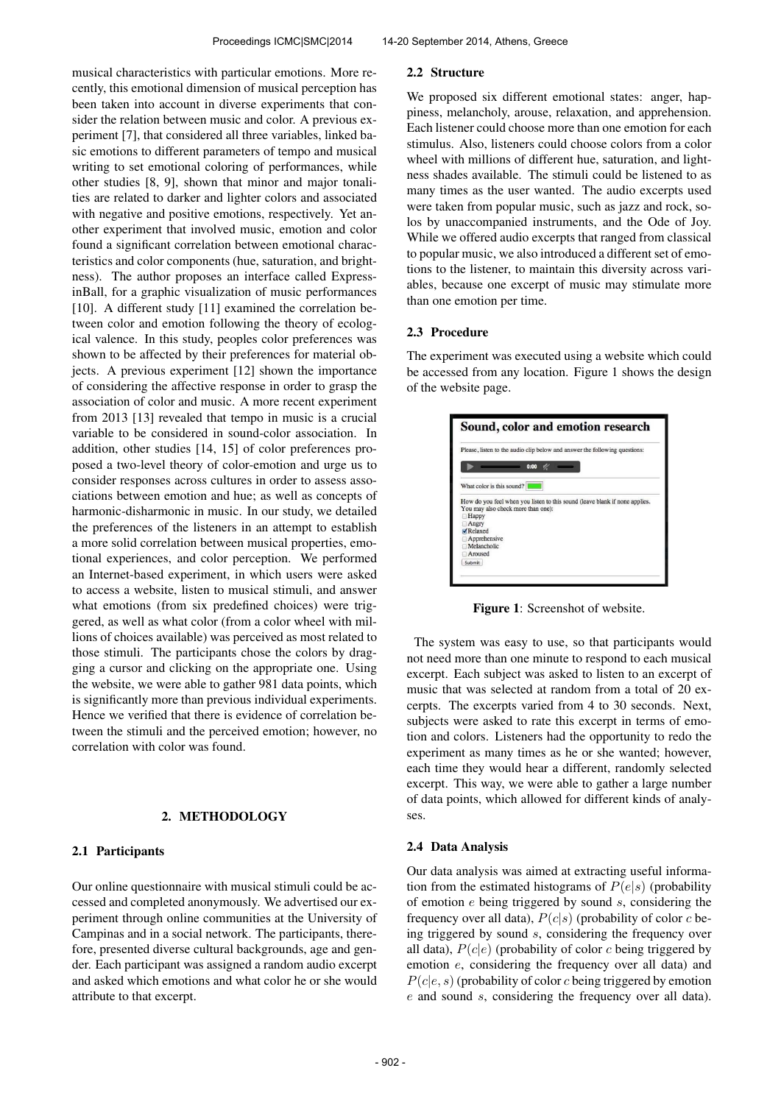musical characteristics with particular emotions. More recently, this emotional dimension of musical perception has been taken into account in diverse experiments that consider the relation between music and color. A previous experiment [7], that considered all three variables, linked basic emotions to different parameters of tempo and musical writing to set emotional coloring of performances, while other studies [8, 9], shown that minor and major tonalities are related to darker and lighter colors and associated with negative and positive emotions, respectively. Yet another experiment that involved music, emotion and color found a significant correlation between emotional characteristics and color components (hue, saturation, and brightness). The author proposes an interface called ExpressinBall, for a graphic visualization of music performances [10]. A different study [11] examined the correlation between color and emotion following the theory of ecological valence. In this study, peoples color preferences was shown to be affected by their preferences for material objects. A previous experiment [12] shown the importance of considering the affective response in order to grasp the association of color and music. A more recent experiment from 2013 [13] revealed that tempo in music is a crucial variable to be considered in sound-color association. In addition, other studies [14, 15] of color preferences proposed a two-level theory of color-emotion and urge us to consider responses across cultures in order to assess associations between emotion and hue; as well as concepts of harmonic-disharmonic in music. In our study, we detailed the preferences of the listeners in an attempt to establish a more solid correlation between musical properties, emotional experiences, and color perception. We performed an Internet-based experiment, in which users were asked to access a website, listen to musical stimuli, and answer what emotions (from six predefined choices) were triggered, as well as what color (from a color wheel with millions of choices available) was perceived as most related to those stimuli. The participants chose the colors by dragging a cursor and clicking on the appropriate one. Using the website, we were able to gather 981 data points, which is significantly more than previous individual experiments. Hence we verified that there is evidence of correlation between the stimuli and the perceived emotion; however, no correlation with color was found.

## 2. METHODOLOGY

#### 2.1 Participants

Our online questionnaire with musical stimuli could be accessed and completed anonymously. We advertised our experiment through online communities at the University of Campinas and in a social network. The participants, therefore, presented diverse cultural backgrounds, age and gender. Each participant was assigned a random audio excerpt and asked which emotions and what color he or she would attribute to that excerpt.

#### 2.2 Structure

We proposed six different emotional states: anger, happiness, melancholy, arouse, relaxation, and apprehension. Each listener could choose more than one emotion for each stimulus. Also, listeners could choose colors from a color wheel with millions of different hue, saturation, and lightness shades available. The stimuli could be listened to as many times as the user wanted. The audio excerpts used were taken from popular music, such as jazz and rock, solos by unaccompanied instruments, and the Ode of Joy. While we offered audio excerpts that ranged from classical to popular music, we also introduced a different set of emotions to the listener, to maintain this diversity across variables, because one excerpt of music may stimulate more than one emotion per time.

### 2.3 Procedure

The experiment was executed using a website which could be accessed from any location. Figure 1 shows the design of the website page.

| 0:00<br>What color is this sound?<br>How do you feel when you listen to this sound (leave blank if none applies.<br>You may also check more than one):<br>Happy<br>Angry<br>Relaxed |  |  | Please, listen to the audio clip below and answer the following questions: |
|-------------------------------------------------------------------------------------------------------------------------------------------------------------------------------------|--|--|----------------------------------------------------------------------------|
|                                                                                                                                                                                     |  |  |                                                                            |
|                                                                                                                                                                                     |  |  |                                                                            |
|                                                                                                                                                                                     |  |  |                                                                            |
|                                                                                                                                                                                     |  |  |                                                                            |
|                                                                                                                                                                                     |  |  |                                                                            |
|                                                                                                                                                                                     |  |  |                                                                            |
| Apprehensive                                                                                                                                                                        |  |  |                                                                            |
| Melancholic                                                                                                                                                                         |  |  |                                                                            |
| Aroused                                                                                                                                                                             |  |  |                                                                            |

Figure 1: Screenshot of website.

The system was easy to use, so that participants would not need more than one minute to respond to each musical excerpt. Each subject was asked to listen to an excerpt of music that was selected at random from a total of 20 excerpts. The excerpts varied from 4 to 30 seconds. Next, subjects were asked to rate this excerpt in terms of emotion and colors. Listeners had the opportunity to redo the experiment as many times as he or she wanted; however, each time they would hear a different, randomly selected excerpt. This way, we were able to gather a large number of data points, which allowed for different kinds of analyses.

#### 2.4 Data Analysis

Our data analysis was aimed at extracting useful information from the estimated histograms of  $P(e|s)$  (probability of emotion  $e$  being triggered by sound  $s$ , considering the frequency over all data),  $P(c|s)$  (probability of color c being triggered by sound s, considering the frequency over all data),  $P(c|e)$  (probability of color c being triggered by emotion e, considering the frequency over all data) and  $P(c|e, s)$  (probability of color c being triggered by emotion e and sound s, considering the frequency over all data).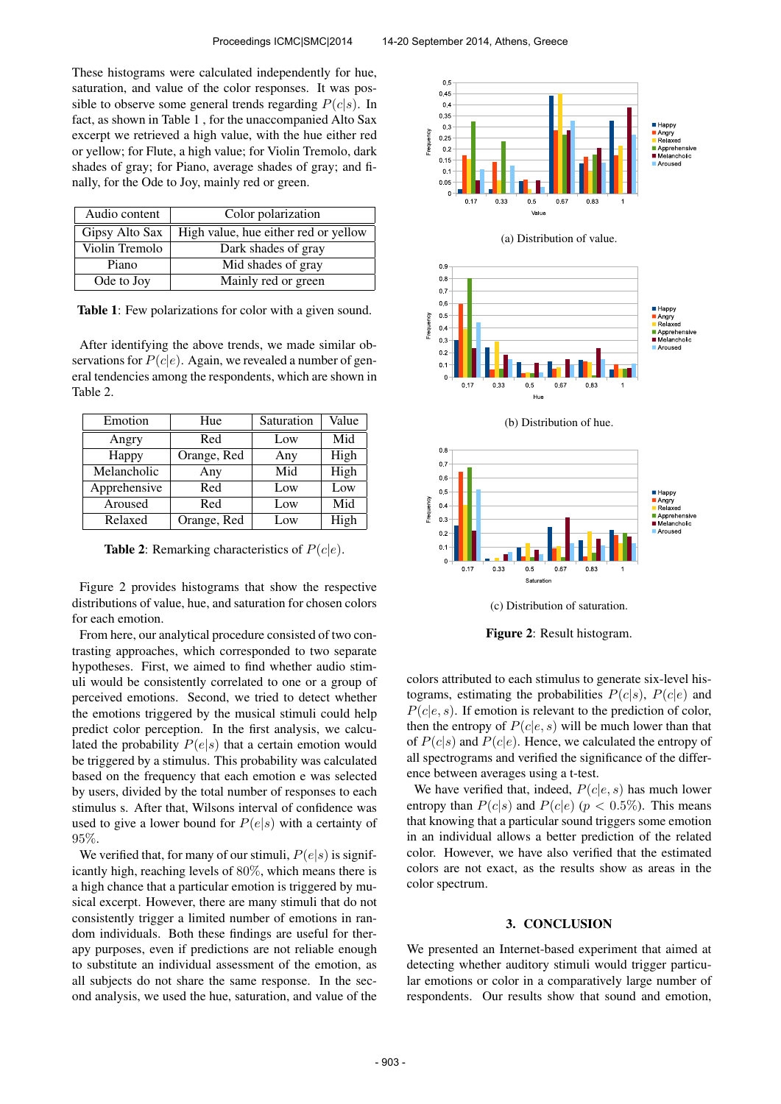These histograms were calculated independently for hue, saturation, and value of the color responses. It was possible to observe some general trends regarding  $P(c|s)$ . In fact, as shown in Table 1 , for the unaccompanied Alto Sax excerpt we retrieved a high value, with the hue either red or yellow; for Flute, a high value; for Violin Tremolo, dark shades of gray; for Piano, average shades of gray; and finally, for the Ode to Joy, mainly red or green.

| Audio content  | Color polarization                   |  |  |
|----------------|--------------------------------------|--|--|
| Gipsy Alto Sax | High value, hue either red or yellow |  |  |
| Violin Tremolo | Dark shades of gray                  |  |  |
| Piano          | Mid shades of gray                   |  |  |
| Ode to Joy     | Mainly red or green                  |  |  |

Table 1: Few polarizations for color with a given sound.

After identifying the above trends, we made similar observations for  $P(c|e)$ . Again, we revealed a number of general tendencies among the respondents, which are shown in Table 2.

| Emotion      | Hue         | Saturation | Value |
|--------------|-------------|------------|-------|
| Angry        | Red         | Low        | Mid   |
| Happy        | Orange, Red | Any        | High  |
| Melancholic  | Any         | Mid        | High  |
| Apprehensive | Red         | Low        | Low   |
| Aroused      | Red         | Low        | Mid   |
| Relaxed      | Orange, Red | Low        | High  |

**Table 2:** Remarking characteristics of  $P(c|e)$ .

Figure 2 provides histograms that show the respective distributions of value, hue, and saturation for chosen colors for each emotion.

From here, our analytical procedure consisted of two contrasting approaches, which corresponded to two separate hypotheses. First, we aimed to find whether audio stimuli would be consistently correlated to one or a group of perceived emotions. Second, we tried to detect whether the emotions triggered by the musical stimuli could help predict color perception. In the first analysis, we calculated the probability  $P(e|s)$  that a certain emotion would be triggered by a stimulus. This probability was calculated based on the frequency that each emotion e was selected by users, divided by the total number of responses to each stimulus s. After that, Wilsons interval of confidence was used to give a lower bound for  $P(e|s)$  with a certainty of 95%.

We verified that, for many of our stimuli,  $P(e|s)$  is significantly high, reaching levels of 80%, which means there is a high chance that a particular emotion is triggered by musical excerpt. However, there are many stimuli that do not consistently trigger a limited number of emotions in random individuals. Both these findings are useful for therapy purposes, even if predictions are not reliable enough to substitute an individual assessment of the emotion, as all subjects do not share the same response. In the second analysis, we used the hue, saturation, and value of the



colors attributed to each stimulus to generate six-level histograms, estimating the probabilities  $P(c|s)$ ,  $P(c|e)$  and  $P(c|e, s)$ . If emotion is relevant to the prediction of color, then the entropy of  $P(c|e, s)$  will be much lower than that of  $P(c|s)$  and  $P(c|e)$ . Hence, we calculated the entropy of all spectrograms and verified the significance of the difference between averages using a t-test.

We have verified that, indeed,  $P(c|e, s)$  has much lower entropy than  $P(c|s)$  and  $P(c|e)$  ( $p < 0.5\%$ ). This means that knowing that a particular sound triggers some emotion in an individual allows a better prediction of the related color. However, we have also verified that the estimated colors are not exact, as the results show as areas in the color spectrum.

# 3. CONCLUSION

We presented an Internet-based experiment that aimed at detecting whether auditory stimuli would trigger particular emotions or color in a comparatively large number of respondents. Our results show that sound and emotion,